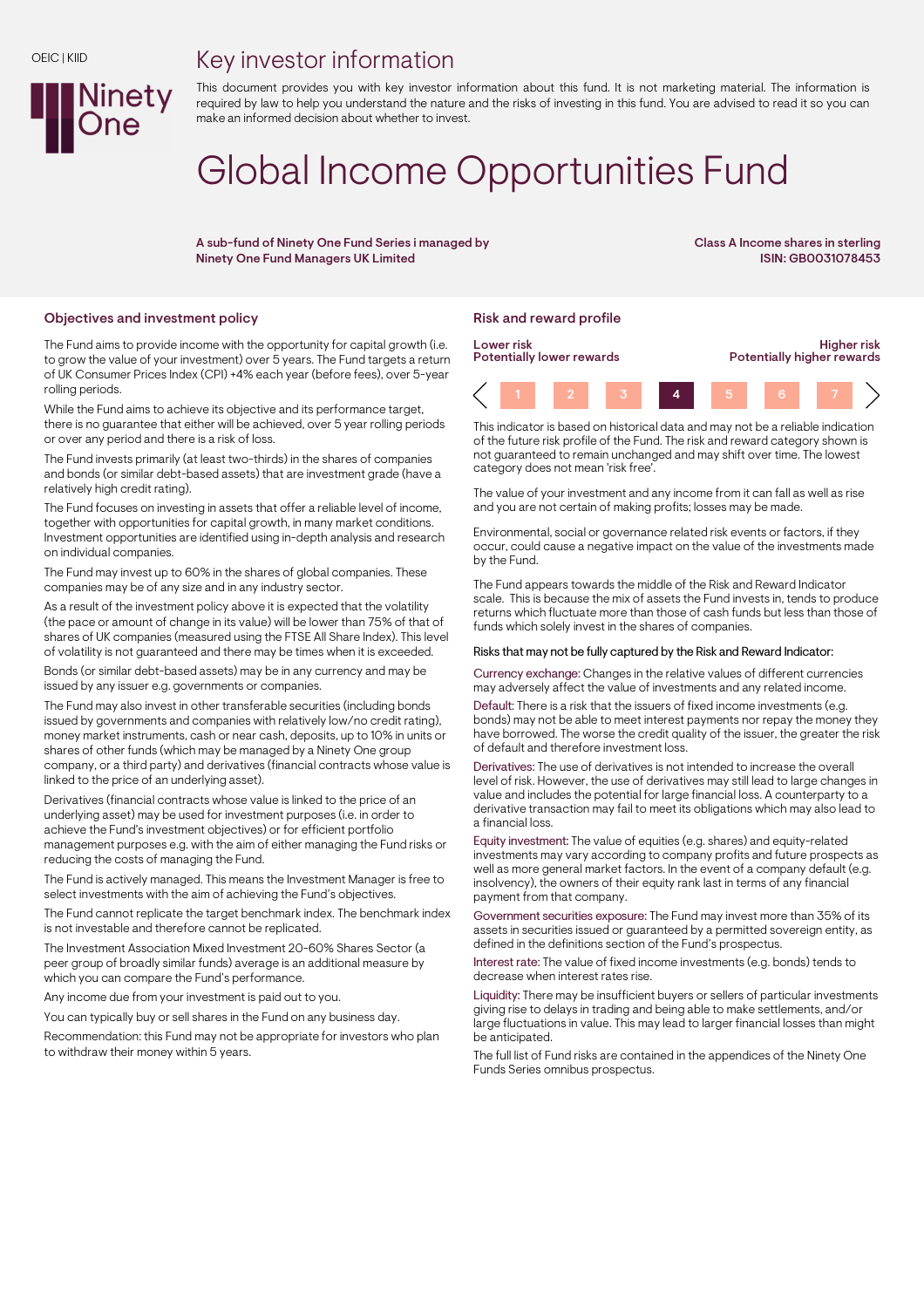## Key investor information



This document provides you with key investor information about this fund. It is not marketing material. The information is required by law to help you understand the nature and the risks of investing in this fund. You are advised to read it so you can make an informed decision about whether to invest.

# Global Income Opportunities Fund

A sub-fund of Ninety One Fund Series i managed by Ninety One Fund Managers UK Limited

Class A Income shares in sterling ISIN: GB0031078453

## Objectives and investment policy **Risk and reward profile** Risk and reward profile

The Fund aims to provide income with the opportunity for capital growth (i.e. to grow the value of your investment) over 5 years. The Fund targets a return of UK Consumer Prices Index (CPI) +4% each year (before fees), over 5-year rolling periods.

While the Fund aims to achieve its objective and its performance target, there is no guarantee that either will be achieved, over 5 year rolling periods or over any period and there is a risk of loss.

The Fund invests primarily (at least two-thirds) in the shares of companies and bonds (or similar debt-based assets) that are investment grade (have a relatively high credit rating).

The Fund focuses on investing in assets that offer a reliable level of income, together with opportunities for capital growth, in many market conditions. Investment opportunities are identified using in-depth analysis and research on individual companies.

The Fund may invest up to 60% in the shares of global companies. These companies may be of any size and in any industry sector.

As a result of the investment policy above it is expected that the volatility (the pace or amount of change in its value) will be lower than 75% of that of shares of UK companies (measured using the FTSE All Share Index). This level of volatility is not guaranteed and there may be times when it is exceeded.

Bonds (or similar debt-based assets) may be in any currency and may be issued by any issuer e.g. governments or companies.

The Fund may also invest in other transferable securities (including bonds issued by governments and companies with relatively low/no credit rating), money market instruments, cash or near cash, deposits, up to 10% in units or shares of other funds (which may be managed by a Ninety One group company, or a third party) and derivatives (financial contracts whose value is linked to the price of an underlying asset).

Derivatives (financial contracts whose value is linked to the price of an underlying asset) may be used for investment purposes (i.e. in order to achieve the Fund's investment objectives) or for efficient portfolio management purposes e.g. with the aim of either managing the Fund risks or reducing the costs of managing the Fund.

The Fund is actively managed. This means the Investment Manager is free to select investments with the aim of achieving the Fund's objectives.

The Fund cannot replicate the target benchmark index. The benchmark index is not investable and therefore cannot be replicated.

The Investment Association Mixed Investment 20-60% Shares Sector (a peer group of broadly similar funds) average is an additional measure by which you can compare the Fund's performance.

Any income due from your investment is paid out to you.

You can typically buy or sell shares in the Fund on any business day.

Recommendation: this Fund may not be appropriate for investors who plan to withdraw their money within 5 years.



This indicator is based on historical data and may not be a reliable indication of the future risk profile of the Fund. The risk and reward category shown is not guaranteed to remain unchanged and may shift over time. The lowest category does not mean 'risk free'.

The value of your investment and any income from it can fall as well as rise and you are not certain of making profits; losses may be made.

Environmental, social or governance related risk events or factors, if they occur, could cause a negative impact on the value of the investments made by the Fund.

The Fund appears towards the middle of the Risk and Reward Indicator scale. This is because the mix of assets the Fund invests in, tends to produce returns which fluctuate more than those of cash funds but less than those of funds which solely invest in the shares of companies.

#### Risks that may not be fully captured by the Risk and Reward Indicator:

Currency exchange: Changes in the relative values of different currencies may adversely affect the value of investments and any related income.

Default: There is a risk that the issuers of fixed income investments (e.g. bonds) may not be able to meet interest payments nor repay the money they have borrowed. The worse the credit quality of the issuer, the greater the risk of default and therefore investment loss.

Derivatives: The use of derivatives is not intended to increase the overall level of risk. However, the use of derivatives may still lead to large changes in value and includes the potential for large financial loss. A counterparty to a derivative transaction may fail to meet its obligations which may also lead to a financial loss.

Equity investment: The value of equities (e.g. shares) and equity-related investments may vary according to company profits and future prospects as well as more general market factors. In the event of a company default (e.g. insolvency), the owners of their equity rank last in terms of any financial payment from that company.

Government securities exposure: The Fund may invest more than 35% of its assets in securities issued or guaranteed by a permitted sovereign entity, as defined in the definitions section of the Fund's prospectus.

Interest rate: The value of fixed income investments (e.g. bonds) tends to decrease when interest rates rise.

Liquidity: There may be insufficient buyers or sellers of particular investments giving rise to delays in trading and being able to make settlements, and/or large fluctuations in value. This may lead to larger financial losses than might be anticipated.

The full list of Fund risks are contained in the appendices of the Ninety One Funds Series omnibus prospectus.